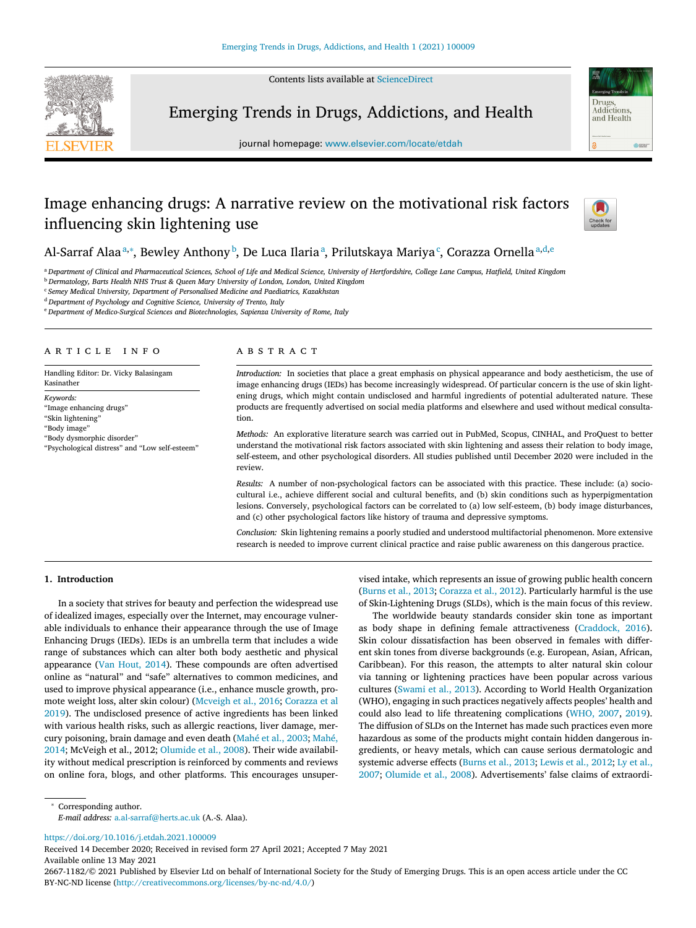Contents lists available at [ScienceDirect](http://www.ScienceDirect.com)



Emerging Trends in Drugs, Addictions, and Health



# Image enhancing drugs: A narrative review on the motivational risk factors influencing skin lightening use



Drugs Addictions and Health

 $rac{1}{2}$ 

# Al-Sarraf Alaaª,\*, Bewley Anthony <sup>b</sup>, De Luca Ilariaª, Prilutskaya Mariya¢, Corazza Ornellaª,d,e

a Department of Clinical and Pharmaceutical Sciences, School of Life and Medical Science, University of Hertfordshire, College Lane Campus, Hatfield, United Kingdom

<sup>b</sup> *Dermatology, Barts Health NHS Trust & Queen Mary University of London, London, United Kingdom*

<sup>c</sup> *Semey Medical University, Department of Personalised Medicine and Paediatrics, Kazakhstan*

<sup>d</sup> *Department of Psychology and Cognitive Science, University of Trento, Italy*

<sup>e</sup> *Department of Medico-Surgical Sciences and Biotechnologies, Sapienza University of Rome, Italy*

# A R T I C L E I N F O

Handling Editor: Dr. Vicky Balasingam Kasinather

*Keywords:*

"Image enhancing drugs" "Skin lightening" "Body image" "Body dysmorphic disorder"

"Psychological distress" and "Low self-esteem"

# a b s t r a c t

*Introduction:* In societies that place a great emphasis on physical appearance and body aestheticism, the use of image enhancing drugs (IEDs) has become increasingly widespread. Of particular concern is the use of skin lightening drugs, which might contain undisclosed and harmful ingredients of potential adulterated nature. These products are frequently advertised on social media platforms and elsewhere and used without medical consultation.

*Methods:* An explorative literature search was carried out in PubMed, Scopus, CINHAL, and ProQuest to better understand the motivational risk factors associated with skin lightening and assess their relation to body image, self-esteem, and other psychological disorders. All studies published until December 2020 were included in the review.

*Results:* A number of non-psychological factors can be associated with this practice. These include: (a) sociocultural i.e., achieve different social and cultural benefits, and (b) skin conditions such as hyperpigmentation lesions. Conversely, psychological factors can be correlated to (a) low self-esteem, (b) body image disturbances, and (c) other psychological factors like history of trauma and depressive symptoms.

*Conclusion:* Skin lightening remains a poorly studied and understood multifactorial phenomenon. More extensive research is needed to improve current clinical practice and raise public awareness on this dangerous practice.

# **1. Introduction**

In a society that strives for beauty and perfection the widespread use of idealized images, especially over the Internet, may encourage vulnerable individuals to enhance their appearance through the use of Image Enhancing Drugs (IEDs). IEDs is an umbrella term that includes a wide range of substances which can alter both body aesthetic and physical appearance (Van [Hout,](#page-3-0) 2014). These compounds are often advertised online as "natural" and "safe" alternatives to common medicines, and used to improve physical appearance (i.e., enhance muscle growth, promote weight loss, alter skin colour) [\(Mcveigh](#page-3-0) et al., 2016; Corazza et al 2019). The [undisclosed](#page-3-0) presence of active ingredients has been linked with various health risks, such as allergic reactions, liver damage, mercury [poisoning,](#page-3-0) brain damage and even death [\(Mahé et](#page-3-0) al., 2003; Mahé, 2014; McVeigh et al., 2012; [Olumide](#page-3-0) et al., 2008). Their wide availability without medical prescription is reinforced by comments and reviews on online fora, blogs, and other platforms. This encourages unsupervised intake, which represents an issue of growing public health concern [\(Burns](#page-3-0) et al., 2013; [Corazza](#page-3-0) et al., 2012). Particularly harmful is the use of Skin-Lightening Drugs (SLDs), which is the main focus of this review.

The worldwide beauty standards consider skin tone as important as body shape in defining female attractiveness [\(Craddock,](#page-3-0) 2016). Skin colour dissatisfaction has been observed in females with different skin tones from diverse backgrounds (e.g. European, Asian, African, Caribbean). For this reason, the attempts to alter natural skin colour via tanning or lightening practices have been popular across various cultures [\(Swami](#page-3-0) et al., 2013). According to World Health Organization (WHO), engaging in such practices negatively affects peoples' health and could also lead to life threatening complications [\(WHO,](#page-3-0) 2007, [2019\)](#page-3-0). The diffusion of SLDs on the Internet has made such practices even more hazardous as some of the products might contain hidden dangerous ingredients, or heavy metals, which can cause serious dermatologic and systemic adverse effects [\(Burns](#page-3-0) et al., 2013; [Lewis](#page-3-0) et al., 2012; Ly et al., 2007; [Olumide](#page-3-0) et al., 2008). [Advertisements'](#page-3-0) false claims of extraordi-

<sup>∗</sup> Corresponding author.

*E-mail address:* [a.al-sarraf@herts.ac.uk](mailto:a.al-sarraf@herts.ac.uk) (A.-S. Alaa).

<https://doi.org/10.1016/j.etdah.2021.100009>

Received 14 December 2020; Received in revised form 27 April 2021; Accepted 7 May 2021 Available online 13 May 2021

2667-1182/© 2021 Published by Elsevier Ltd on behalf of International Society for the Study of Emerging Drugs. This is an open access article under the CC BY-NC-ND license [\(http://creativecommons.org/licenses/by-nc-nd/4.0/\)](http://creativecommons.org/licenses/by-nc-nd/4.0/)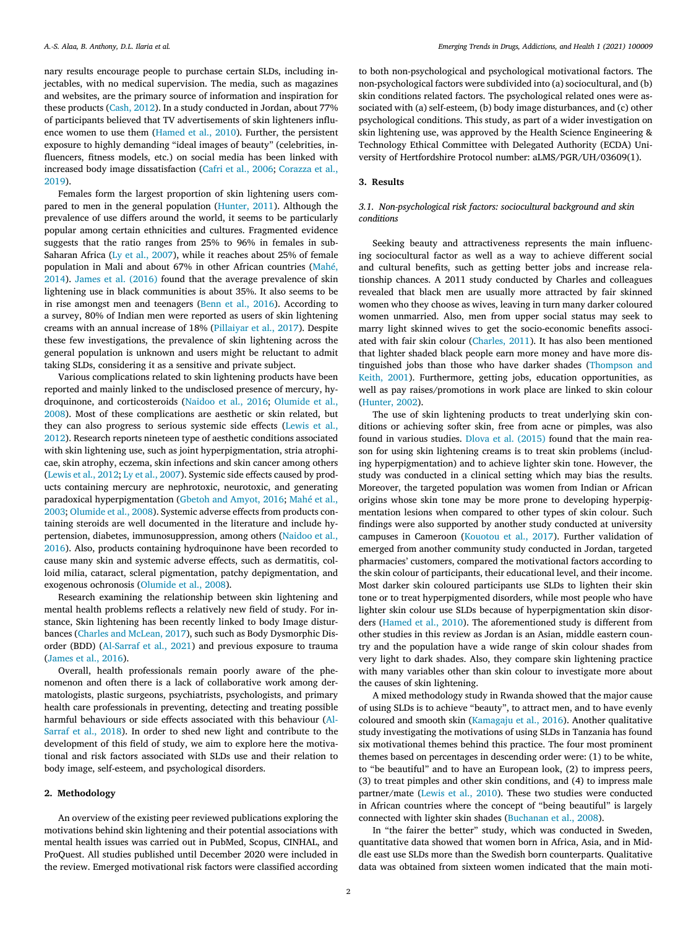nary results encourage people to purchase certain SLDs, including injectables, with no medical supervision. The media, such as magazines and websites, are the primary source of information and inspiration for these products [\(Cash,](#page-3-0) 2012). In a study conducted in Jordan, about 77% of participants believed that TV advertisements of skin lighteners influence women to use them [\(Hamed](#page-3-0) et al., 2010). Further, the persistent exposure to highly demanding "ideal images of beauty" (celebrities, influencers, fitness models, etc.) on social media has been linked with increased body image [dissatisfaction](#page-3-0) (Cafri et al., [2006;](#page-3-0) Corazza et al., 2019).

Females form the largest proportion of skin lightening users compared to men in the general population [\(Hunter,](#page-3-0) 2011). Although the prevalence of use differs around the world, it seems to be particularly popular among certain ethnicities and cultures. Fragmented evidence suggests that the ratio ranges from 25% to 96% in females in sub-Saharan Africa (Ly et al., [2007\)](#page-3-0), while it reaches about 25% of female [population](#page-3-0) in Mali and about 67% in other African countries (Mahé, 2014). James et al. [\(2016\)](#page-3-0) found that the average prevalence of skin lightening use in black communities is about 35%. It also seems to be in rise amongst men and teenagers (Benn et al., [2016\)](#page-3-0). According to a survey, 80% of Indian men were reported as users of skin lightening creams with an annual increase of 18% [\(Pillaiyar](#page-3-0) et al., 2017). Despite these few investigations, the prevalence of skin lightening across the general population is unknown and users might be reluctant to admit taking SLDs, considering it as a sensitive and private subject.

Various complications related to skin lightening products have been reported and mainly linked to the undisclosed presence of mercury, hydroquinone, and [corticosteroids](#page-3-0) [\(Naidoo](#page-3-0) et al., 2016; Olumide et al., 2008). Most of these complications are aesthetic or skin related, but they can also progress to serious systemic side effects (Lewis et al., 2012). Research reports nineteen type of aesthetic [conditions](#page-3-0) associated with skin lightening use, such as joint hyperpigmentation, stria atrophicae, skin atrophy, eczema, skin infections and skin cancer among others [\(Lewis](#page-3-0) et al., 2012; Ly et al., [2007\)](#page-3-0). Systemic side effects caused by products containing mercury are nephrotoxic, neurotoxic, and generating paradoxical [hyperpigmentation](#page-3-0) [\(Gbetoh](#page-3-0) and Amyot, 2016; Mahé et al., 2003; [Olumide](#page-3-0) et al., 2008). Systemic adverse effects from products containing steroids are well documented in the literature and include hypertension, diabetes, [immunosuppression,](#page-3-0) among others (Naidoo et al., 2016). Also, products containing hydroquinone have been recorded to cause many skin and systemic adverse effects, such as dermatitis, colloid milia, cataract, scleral pigmentation, patchy depigmentation, and exogenous ochronosis [\(Olumide](#page-3-0) et al., 2008).

Research examining the relationship between skin lightening and mental health problems reflects a relatively new field of study. For instance, Skin lightening has been recently linked to body Image disturbances (Charles and [McLean,](#page-3-0) 2017), such such as Body Dysmorphic Disorder (BDD) [\(Al-Sarraf](#page-3-0) et al., 2021) and previous exposure to trauma [\(James](#page-3-0) et al., 2016).

Overall, health professionals remain poorly aware of the phenomenon and often there is a lack of collaborative work among dermatologists, plastic surgeons, psychiatrists, psychologists, and primary health care professionals in preventing, detecting and treating possible harmful [behaviours](#page-3-0) or side effects associated with this behaviour (Al-Sarraf et al., 2018). In order to shed new light and contribute to the development of this field of study, we aim to explore here the motivational and risk factors associated with SLDs use and their relation to body image, self-esteem, and psychological disorders.

#### **2. Methodology**

An overview of the existing peer reviewed publications exploring the motivations behind skin lightening and their potential associations with mental health issues was carried out in PubMed, Scopus, CINHAL, and ProQuest. All studies published until December 2020 were included in the review. Emerged motivational risk factors were classified according

to both non-psychological and psychological motivational factors. The non-psychological factors were subdivided into (a) sociocultural, and (b) skin conditions related factors. The psychological related ones were associated with (a) self-esteem, (b) body image disturbances, and (c) other psychological conditions. This study, as part of a wider investigation on skin lightening use, was approved by the Health Science Engineering & Technology Ethical Committee with Delegated Authority (ECDA) University of Hertfordshire Protocol number: aLMS/PGR/UH/03609(1).

# **3. Results**

# *3.1. Non-psychological risk factors: sociocultural background and skin conditions*

Seeking beauty and attractiveness represents the main influencing sociocultural factor as well as a way to achieve different social and cultural benefits, such as getting better jobs and increase relationship chances. A 2011 study conducted by Charles and colleagues revealed that black men are usually more attracted by fair skinned women who they choose as wives, leaving in turn many darker coloured women unmarried. Also, men from upper social status may seek to marry light skinned wives to get the socio-economic benefits associated with fair skin colour [\(Charles,](#page-3-0) 2011). It has also been mentioned that lighter shaded black people earn more money and have more distinguished jobs than those who have darker shades (Thompson and Keith, 2001). Furthermore, getting jobs, education [opportunities,](#page-3-0) as well as pay raises/promotions in work place are linked to skin colour [\(Hunter,](#page-3-0) 2002).

The use of skin lightening products to treat underlying skin conditions or achieving softer skin, free from acne or pimples, was also found in various studies. Dlova et al. [\(2015\)](#page-3-0) found that the main reason for using skin lightening creams is to treat skin problems (including hyperpigmentation) and to achieve lighter skin tone. However, the study was conducted in a clinical setting which may bias the results. Moreover, the targeted population was women from Indian or African origins whose skin tone may be more prone to developing hyperpigmentation lesions when compared to other types of skin colour. Such findings were also supported by another study conducted at university campuses in Cameroon [\(Kouotou](#page-3-0) et al., 2017). Further validation of emerged from another community study conducted in Jordan, targeted pharmacies' customers, compared the motivational factors according to the skin colour of participants, their educational level, and their income. Most darker skin coloured participants use SLDs to lighten their skin tone or to treat hyperpigmented disorders, while most people who have lighter skin colour use SLDs because of hyperpigmentation skin disorders [\(Hamed](#page-3-0) et al., 2010). The aforementioned study is different from other studies in this review as Jordan is an Asian, middle eastern country and the population have a wide range of skin colour shades from very light to dark shades. Also, they compare skin lightening practice with many variables other than skin colour to investigate more about the causes of skin lightening.

A mixed methodology study in Rwanda showed that the major cause of using SLDs is to achieve "beauty", to attract men, and to have evenly coloured and smooth skin [\(Kamagaju](#page-3-0) et al., 2016). Another qualitative study investigating the motivations of using SLDs in Tanzania has found six motivational themes behind this practice. The four most prominent themes based on percentages in descending order were: (1) to be white, to "be beautiful" and to have an European look, (2) to impress peers, (3) to treat pimples and other skin conditions, and (4) to impress male partner/mate [\(Lewis](#page-3-0) et al., 2010). These two studies were conducted in African countries where the concept of "being beautiful" is largely connected with lighter skin shades [\(Buchanan](#page-3-0) et al., 2008).

In "the fairer the better" study, which was conducted in Sweden, quantitative data showed that women born in Africa, Asia, and in Middle east use SLDs more than the Swedish born counterparts. Qualitative data was obtained from sixteen women indicated that the main moti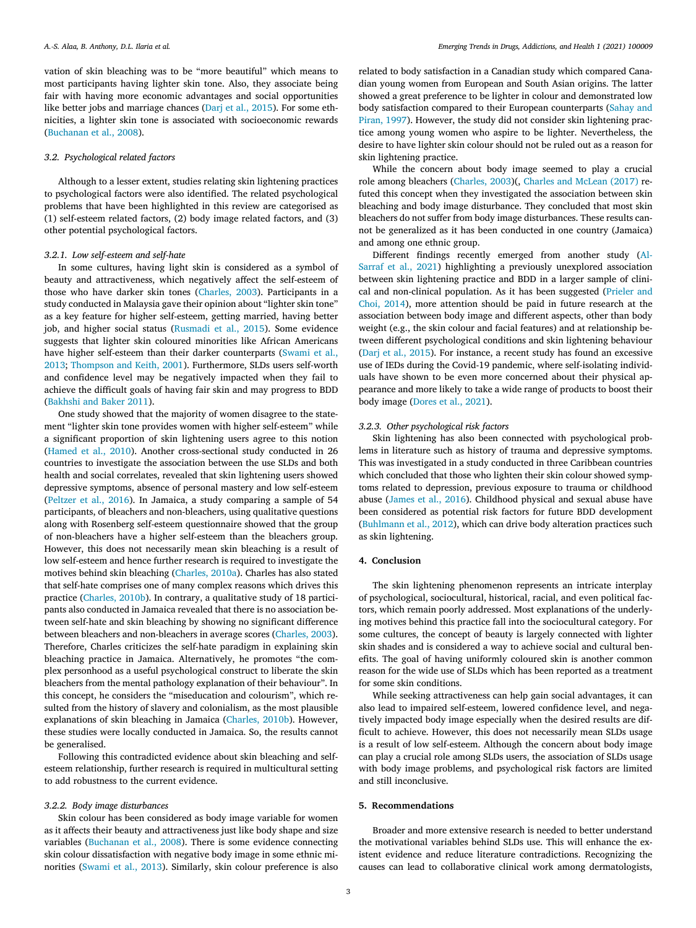vation of skin bleaching was to be "more beautiful" which means to most participants having lighter skin tone. Also, they associate being fair with having more economic advantages and social opportunities like better jobs and marriage chances (Darj et al., [2015\)](#page-3-0). For some ethnicities, a lighter skin tone is associated with socioeconomic rewards [\(Buchanan](#page-3-0) et al., 2008).

# *3.2. Psychological related factors*

Although to a lesser extent, studies relating skin lightening practices to psychological factors were also identified. The related psychological problems that have been highlighted in this review are categorised as (1) self-esteem related factors, (2) body image related factors, and (3) other potential psychological factors.

#### *3.2.1. Low self-esteem and self-hate*

In some cultures, having light skin is considered as a symbol of beauty and attractiveness, which negatively affect the self-esteem of those who have darker skin tones [\(Charles,](#page-3-0) 2003). Participants in a study conducted in Malaysia gave their opinion about "lighter skin tone" as a key feature for higher self-esteem, getting married, having better job, and higher social status [\(Rusmadi](#page-3-0) et al., 2015). Some evidence suggests that lighter skin coloured minorities like African Americans have higher self-esteem than their darker counterparts (Swami et al., 2013; [Thompson](#page-3-0) and Keith, 2001). [Furthermore,](#page-3-0) SLDs users self-worth and confidence level may be negatively impacted when they fail to achieve the difficult goals of having fair skin and may progress to BDD [\(Bakhshi](#page-3-0) and Baker 2011).

One study showed that the majority of women disagree to the statement "lighter skin tone provides women with higher self-esteem" while a significant proportion of skin lightening users agree to this notion [\(Hamed](#page-3-0) et al., 2010). Another cross-sectional study conducted in 26 countries to investigate the association between the use SLDs and both health and social correlates, revealed that skin lightening users showed depressive symptoms, absence of personal mastery and low self-esteem [\(Peltzer](#page-3-0) et al., 2016). In Jamaica, a study comparing a sample of 54 participants, of bleachers and non-bleachers, using qualitative questions along with Rosenberg self-esteem questionnaire showed that the group of non-bleachers have a higher self-esteem than the bleachers group. However, this does not necessarily mean skin bleaching is a result of low self-esteem and hence further research is required to investigate the motives behind skin bleaching [\(Charles,](#page-3-0) 2010a). Charles has also stated that self-hate comprises one of many complex reasons which drives this practice [\(Charles,](#page-3-0) 2010b). In contrary, a qualitative study of 18 participants also conducted in Jamaica revealed that there is no association between self-hate and skin bleaching by showing no significant difference between bleachers and non-bleachers in average scores [\(Charles,](#page-3-0) 2003). Therefore, Charles criticizes the self-hate paradigm in explaining skin bleaching practice in Jamaica. Alternatively, he promotes "the complex personhood as a useful psychological construct to liberate the skin bleachers from the mental pathology explanation of their behaviour". In this concept, he considers the "miseducation and colourism", which resulted from the history of slavery and colonialism, as the most plausible explanations of skin bleaching in Jamaica [\(Charles,](#page-3-0) 2010b). However, these studies were locally conducted in Jamaica. So, the results cannot be generalised.

Following this contradicted evidence about skin bleaching and selfesteem relationship, further research is required in multicultural setting to add robustness to the current evidence.

#### *3.2.2. Body image disturbances*

Skin colour has been considered as body image variable for women as it affects their beauty and attractiveness just like body shape and size variables [\(Buchanan](#page-3-0) et al., 2008). There is some evidence connecting skin colour dissatisfaction with negative body image in some ethnic minorities [\(Swami](#page-3-0) et al., 2013). Similarly, skin colour preference is also related to body satisfaction in a Canadian study which compared Canadian young women from European and South Asian origins. The latter showed a great preference to be lighter in colour and demonstrated low body satisfaction compared to their European [counterparts](#page-3-0) (Sahay and Piran, 1997). However, the study did not consider skin lightening practice among young women who aspire to be lighter. Nevertheless, the desire to have lighter skin colour should not be ruled out as a reason for skin lightening practice.

While the concern about body image seemed to play a crucial role among bleachers [\(Charles,](#page-3-0) 2003)(, Charles and [McLean](#page-3-0) (2017) refuted this concept when they investigated the association between skin bleaching and body image disturbance. They concluded that most skin bleachers do not suffer from body image disturbances. These results cannot be generalized as it has been conducted in one country (Jamaica) and among one ethnic group.

Different findings recently emerged from another study (Al-Sarraf et al., 2021) [highlighting](#page-3-0) a previously unexplored association between skin lightening practice and BDD in a larger sample of clinical and [non-clinical](#page-3-0) population. As it has been suggested (Prieler and Choi, 2014), more attention should be paid in future research at the association between body image and different aspects, other than body weight (e.g., the skin colour and facial features) and at relationship between different psychological conditions and skin lightening behaviour (Darj et al., [2015\)](#page-3-0). For instance, a recent study has found an excessive use of IEDs during the Covid-19 pandemic, where self-isolating individuals have shown to be even more concerned about their physical appearance and more likely to take a wide range of products to boost their body image [\(Dores](#page-3-0) et al., 2021).

# *3.2.3. Other psychological risk factors*

Skin lightening has also been connected with psychological problems in literature such as history of trauma and depressive symptoms. This was investigated in a study conducted in three Caribbean countries which concluded that those who lighten their skin colour showed symptoms related to depression, previous exposure to trauma or childhood abuse [\(James](#page-3-0) et al., 2016). Childhood physical and sexual abuse have been considered as potential risk factors for future BDD development [\(Buhlmann](#page-3-0) et al., 2012), which can drive body alteration practices such as skin lightening.

#### **4. Conclusion**

The skin lightening phenomenon represents an intricate interplay of psychological, sociocultural, historical, racial, and even political factors, which remain poorly addressed. Most explanations of the underlying motives behind this practice fall into the sociocultural category. For some cultures, the concept of beauty is largely connected with lighter skin shades and is considered a way to achieve social and cultural benefits. The goal of having uniformly coloured skin is another common reason for the wide use of SLDs which has been reported as a treatment for some skin conditions.

While seeking attractiveness can help gain social advantages, it can also lead to impaired self-esteem, lowered confidence level, and negatively impacted body image especially when the desired results are difficult to achieve. However, this does not necessarily mean SLDs usage is a result of low self-esteem. Although the concern about body image can play a crucial role among SLDs users, the association of SLDs usage with body image problems, and psychological risk factors are limited and still inconclusive.

# **5. Recommendations**

Broader and more extensive research is needed to better understand the motivational variables behind SLDs use. This will enhance the existent evidence and reduce literature contradictions. Recognizing the causes can lead to collaborative clinical work among dermatologists,